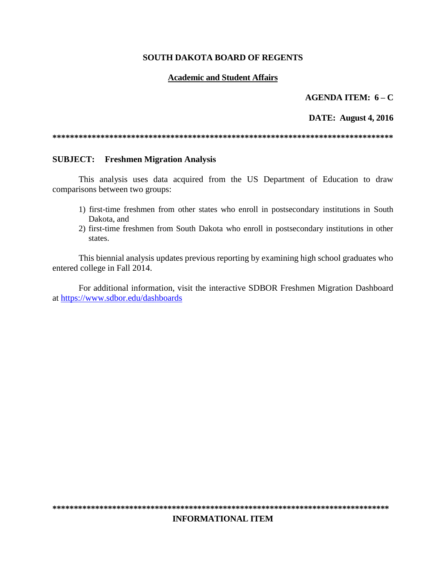### **SOUTH DAKOTA BOARD OF REGENTS**

### **Academic and Student Affairs**

### AGENDA ITEM:  $6 - C$

### **DATE:** August 4, 2016

#### **SUBJECT:** Freshmen Migration Analysis

This analysis uses data acquired from the US Department of Education to draw comparisons between two groups:

- 1) first-time freshmen from other states who enroll in postsecondary institutions in South Dakota, and
- 2) first-time freshmen from South Dakota who enroll in postsecondary institutions in other states.

This biennial analysis updates previous reporting by examining high school graduates who entered college in Fall 2014.

For additional information, visit the interactive SDBOR Freshmen Migration Dashboard at https://www.sdbor.edu/dashboards

### **INFORMATIONAL ITEM**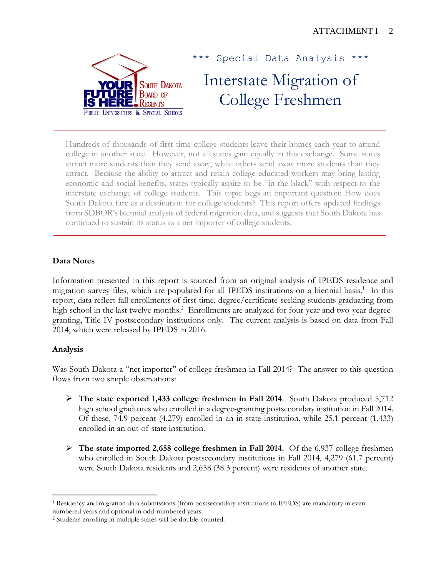

Special Data Analysis \*\*\*

# Interstate Migration of College Freshmen

Hundreds of thousands of first-time college students leave their homes each year to attend college in another state. However, not all states gain equally in this exchange. Some states attract more students than they send away, while others send away more students than they attract. Because the ability to attract and retain college-educated workers may bring lasting economic and social benefits, states typically aspire to be "in the black" with respect to the interstate exchange of college students. This topic begs an important question: How does South Dakota fare as a destination for college students? This report offers updated findings from SDBOR's biennial analysis of federal migration data, and suggests that South Dakota has continued to sustain its status as a net importer of college students.

# **Data Notes**

Information presented in this report is sourced from an original analysis of IPEDS residence and migration survey files, which are populated for all IPEDS institutions on a biennial basis.<sup>1</sup> In this report, data reflect fall enrollments of first-time, degree/certificate-seeking students graduating from high school in the last twelve months.<sup>2</sup> Enrollments are analyzed for four-year and two-year degreegranting, Title IV postsecondary institutions only. The current analysis is based on data from Fall 2014, which were released by IPEDS in 2016.

## **Analysis**

Was South Dakota a "net importer" of college freshmen in Fall 2014? The answer to this question flows from two simple observations:

- **The state exported 1,433 college freshmen in Fall 2014**. South Dakota produced 5,712 high school graduates who enrolled in a degree-granting postsecondary institution in Fall 2014. Of these, 74.9 percent (4,279) enrolled in an in-state institution, while 25.1 percent (1,433) enrolled in an out-of-state institution.
- **The state imported 2,658 college freshmen in Fall 2014.** Of the 6,937 college freshmen who enrolled in South Dakota postsecondary institutions in Fall 2014, 4,279 (61.7 percent) were South Dakota residents and 2,658 (38.3 percent) were residents of another state.

 $\overline{a}$ <sup>1</sup> Residency and migration data submissions (from postsecondary institutions to IPEDS) are mandatory in evennumbered years and optional in odd-numbered years.

<sup>2</sup> Students enrolling in multiple states will be double-counted.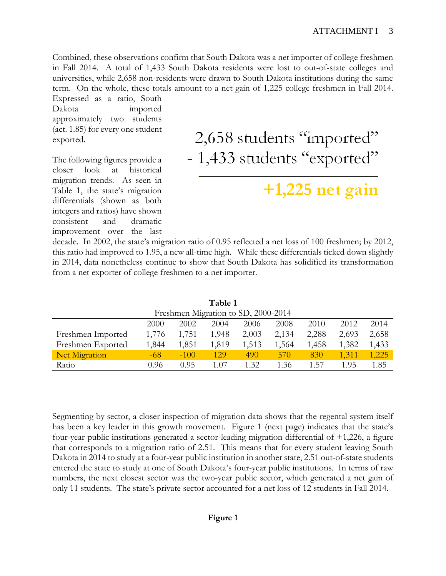Combined, these observations confirm that South Dakota was a net importer of college freshmen in Fall 2014. A total of 1,433 South Dakota residents were lost to out-of-state colleges and universities, while 2,658 non-residents were drawn to South Dakota institutions during the same term. On the whole, these totals amount to a net gain of 1,225 college freshmen in Fall 2014.

Expressed as a ratio, South Dakota imported approximately two students (act. 1.85) for every one student exported.

The following figures provide a closer look at historical migration trends. As seen in Table 1, the state's migration differentials (shown as both integers and ratios) have shown consistent and dramatic improvement over the last

2,658 students "imported" - 1,433 students "exported"

# $+1,225$  net gain

decade. In 2002, the state's migration ratio of 0.95 reflected a net loss of 100 freshmen; by 2012, this ratio had improved to 1.95, a new all-time high. While these differentials ticked down slightly in 2014, data nonetheless continue to show that South Dakota has solidified its transformation from a net exporter of college freshmen to a net importer.

| Freshmen Migration to SD, 2000-2014 |       |        |       |       |       |       |       |       |  |  |  |
|-------------------------------------|-------|--------|-------|-------|-------|-------|-------|-------|--|--|--|
|                                     | 2000  | 2002   | 2004  | 2006  | 2008  | 2010  | 2012  | 2014  |  |  |  |
| Freshmen Imported                   | 1,776 | 1,751  | 1,948 | 2,003 | 2,134 | 2,288 | 2,693 | 2,658 |  |  |  |
| Freshmen Exported                   | 1,844 | 1,851  | 1,819 | 1,513 | 1,564 | 1,458 | 1,382 | 1,433 |  |  |  |
| Net Migration                       | -68   | $-100$ | 129   | 490   | 570   | 830   | 1.311 | 1,225 |  |  |  |
| Ratio                               | N 96  | 0.95   | 1.07  | 1.32  | 1.36  | 1.57  | 195   | 1.85  |  |  |  |

**Table 1**

Segmenting by sector, a closer inspection of migration data shows that the regental system itself has been a key leader in this growth movement. Figure 1 (next page) indicates that the state's four-year public institutions generated a sector-leading migration differential of +1,226, a figure that corresponds to a migration ratio of 2.51. This means that for every student leaving South Dakota in 2014 to study at a four-year public institution in another state, 2.51 out-of-state students entered the state to study at one of South Dakota's four-year public institutions. In terms of raw numbers, the next closest sector was the two-year public sector, which generated a net gain of only 11 students. The state's private sector accounted for a net loss of 12 students in Fall 2014.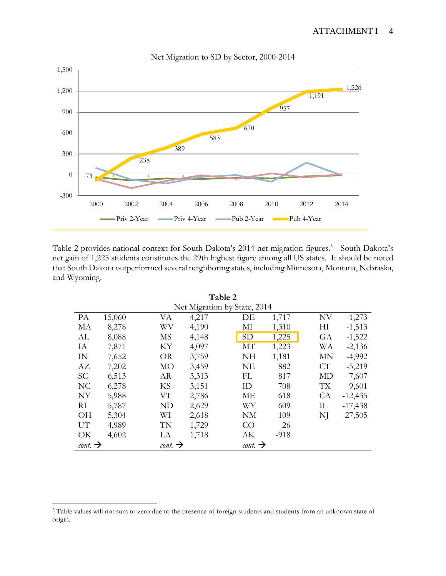## ATTACHMENT I 4



Table 2 provides national context for South Dakota's 2014 net migration figures. 3 South Dakota's net gain of 1,225 students constitutes the 29th highest figure among all US states. It should be noted that South Dakota outperformed several neighboring states, including Minnesota, Montana, Nebraska, and Wyoming.

| Table 2                      |        |                            |       |  |                            |        |  |           |           |  |  |  |
|------------------------------|--------|----------------------------|-------|--|----------------------------|--------|--|-----------|-----------|--|--|--|
| Net Migration by State, 2014 |        |                            |       |  |                            |        |  |           |           |  |  |  |
| PA                           | 15,060 | VA                         | 4,217 |  | DE                         | 1,717  |  | NV        | $-1,273$  |  |  |  |
| MA                           | 8,278  | WV                         | 4,190 |  | МI                         | 1,310  |  | H         | $-1,513$  |  |  |  |
| AL                           | 8,088  | <b>MS</b>                  | 4,148 |  | <b>SD</b>                  | 1,225  |  | GA        | $-1,522$  |  |  |  |
| IA                           | 7,871  | KY                         | 4,097 |  | <b>MT</b>                  | 1,223  |  | WA        | $-2,136$  |  |  |  |
| IN                           | 7,652  | <b>OR</b>                  | 3,759 |  | <b>NH</b>                  | 1,181  |  | <b>MN</b> | $-4,992$  |  |  |  |
| AZ                           | 7,202  | MO                         | 3,459 |  | <b>NE</b>                  | 882    |  | CT        | $-5,219$  |  |  |  |
| <b>SC</b>                    | 6,513  | AR                         | 3,313 |  | FL                         | 817    |  | MD        | $-7,607$  |  |  |  |
| N <sub>C</sub>               | 6,278  | KS                         | 3,151 |  | ID                         | 708    |  | TX        | $-9,601$  |  |  |  |
| NY                           | 5,988  | VТ                         | 2,786 |  | МE                         | 618    |  | CA        | $-12,435$ |  |  |  |
| RI                           | 5,787  | <b>ND</b>                  | 2,629 |  | WY                         | 609    |  | IL        | $-17,438$ |  |  |  |
| <b>OH</b>                    | 5,304  | WI                         | 2,618 |  | NM                         | 109    |  | NJ        | $-27,505$ |  |  |  |
| UT                           | 4,989  | TN                         | 1,729 |  | CO                         | $-26$  |  |           |           |  |  |  |
| OK                           | 4,602  | LA                         | 1,718 |  | AK                         | $-918$ |  |           |           |  |  |  |
| $\text{cont.} \rightarrow$   |        | $\text{cont.} \rightarrow$ |       |  | $\text{cont.} \rightarrow$ |        |  |           |           |  |  |  |

<sup>3</sup> Table values will not sum to zero due to the presence of foreign students and students from an unknown state of origin.

 $\overline{a}$ 

#### Net Migration to SD by Sector, 2000-2014